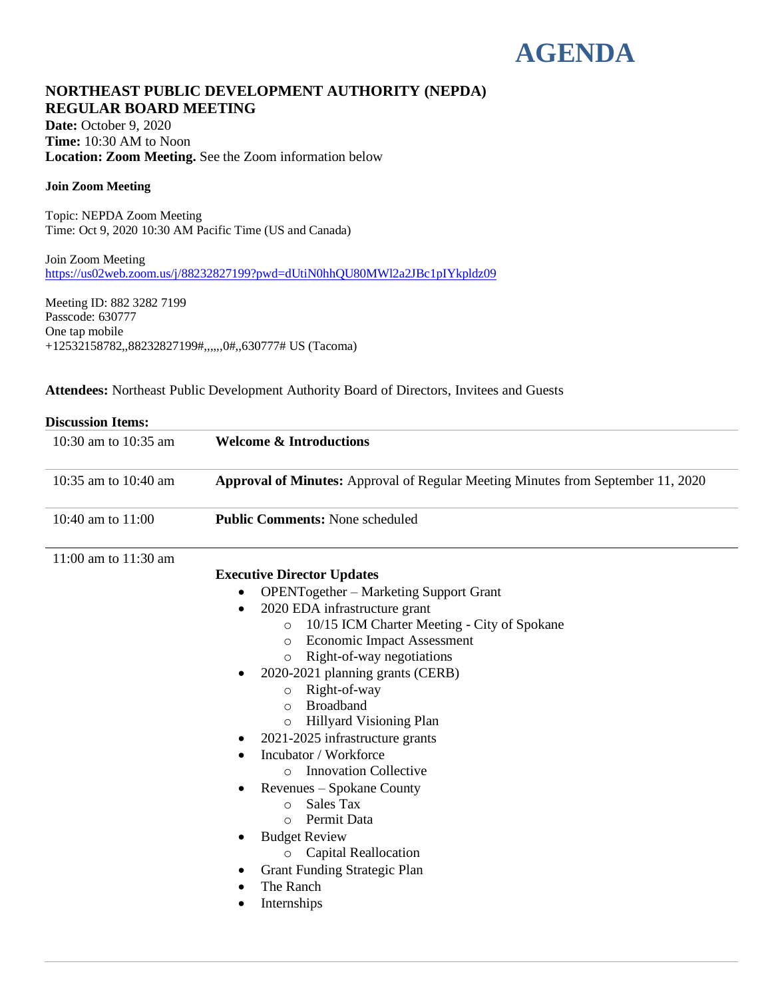# **AGENDA**

# **NORTHEAST PUBLIC DEVELOPMENT AUTHORITY (NEPDA) REGULAR BOARD MEETING**

**Date:** October 9, 2020 **Time:** 10:30 AM to Noon **Location: Zoom Meeting.** See the Zoom information below

#### **Join Zoom Meeting**

Topic: NEPDA Zoom Meeting Time: Oct 9, 2020 10:30 AM Pacific Time (US and Canada)

Join Zoom Meeting [https://us02web.zoom.us/j/88232827199?pwd=dUtiN0hhQU80MWl2a2JBc1pIYkpldz09](about:blank)

Meeting ID: 882 3282 7199 Passcode: 630777 One tap mobile +12532158782,,88232827199#,,,,,,0#,,630777# US (Tacoma)

**Attendees:** Northeast Public Development Authority Board of Directors, Invitees and Guests

| 10:30 am to 10:35 am | <b>Welcome &amp; Introductions</b>                                                                                                                                                                                                                                                                                                                                                                                                                                                                                                                                                                                                                                                                                               |
|----------------------|----------------------------------------------------------------------------------------------------------------------------------------------------------------------------------------------------------------------------------------------------------------------------------------------------------------------------------------------------------------------------------------------------------------------------------------------------------------------------------------------------------------------------------------------------------------------------------------------------------------------------------------------------------------------------------------------------------------------------------|
| 10:35 am to 10:40 am | <b>Approval of Minutes:</b> Approval of Regular Meeting Minutes from September 11, 2020                                                                                                                                                                                                                                                                                                                                                                                                                                                                                                                                                                                                                                          |
| 10:40 am to 11:00    | <b>Public Comments: None scheduled</b>                                                                                                                                                                                                                                                                                                                                                                                                                                                                                                                                                                                                                                                                                           |
| 11:00 am to 11:30 am | <b>Executive Director Updates</b><br><b>OPENTogether – Marketing Support Grant</b><br>2020 EDA infrastructure grant<br>10/15 ICM Charter Meeting - City of Spokane<br>$\circ$<br><b>Economic Impact Assessment</b><br>$\circ$<br>Right-of-way negotiations<br>$\circ$<br>2020-2021 planning grants (CERB)<br>Right-of-way<br>$\circ$<br><b>Broadband</b><br>$\circ$<br>Hillyard Visioning Plan<br>$\circ$<br>2021-2025 infrastructure grants<br>Incubator / Workforce<br><b>Innovation Collective</b><br>$\circ$<br>Revenues – Spokane County<br>Sales Tax<br>$\circ$<br>Permit Data<br>$\bigcirc$<br><b>Budget Review</b><br><b>Capital Reallocation</b><br>$\circ$<br>Grant Funding Strategic Plan<br>The Ranch<br>Internships |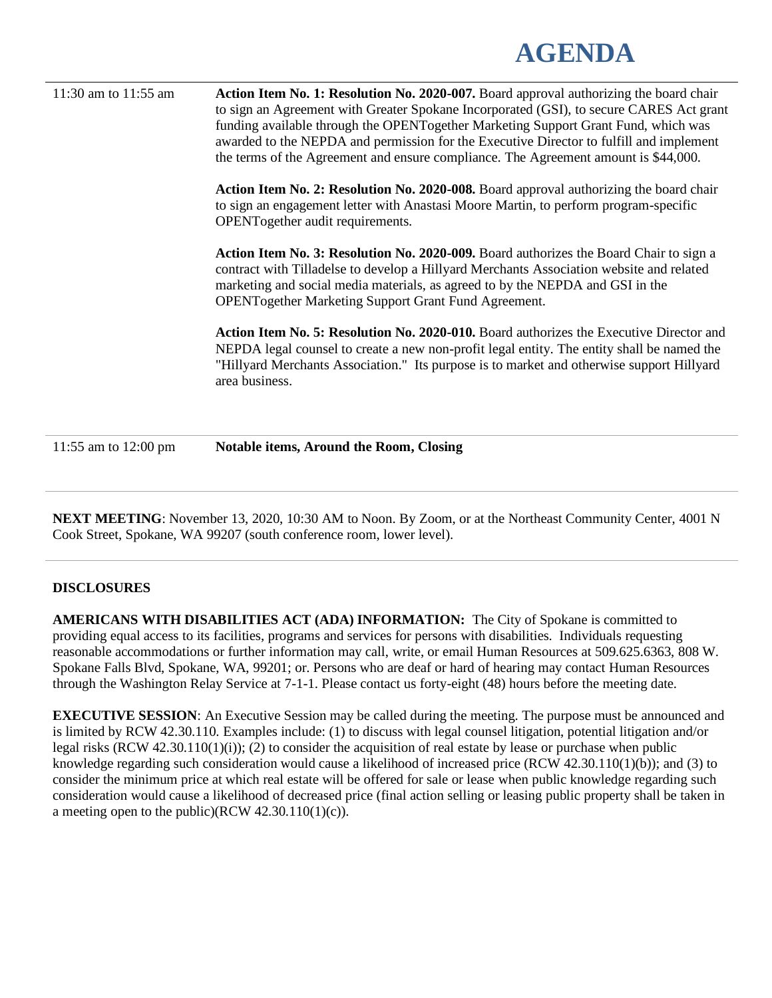# **AGENDA**

11:30 am to 11:55 am **Action Item No. 1: Resolution No. 2020-007.** Board approval authorizing the board chair to sign an Agreement with Greater Spokane Incorporated (GSI), to secure CARES Act grant funding available through the OPENTogether Marketing Support Grant Fund, which was awarded to the NEPDA and permission for the Executive Director to fulfill and implement the terms of the Agreement and ensure compliance. The Agreement amount is \$44,000. **Action Item No. 2: Resolution No. 2020-008.** Board approval authorizing the board chair to sign an engagement letter with Anastasi Moore Martin, to perform program-specific OPENTogether audit requirements. **Action Item No. 3: Resolution No. 2020-009.** Board authorizes the Board Chair to sign a contract with Tilladelse to develop a Hillyard Merchants Association website and related marketing and social media materials, as agreed to by the NEPDA and GSI in the OPENTogether Marketing Support Grant Fund Agreement. **Action Item No. 5: Resolution No. 2020-010.** Board authorizes the Executive Director and NEPDA legal counsel to create a new non-profit legal entity. The entity shall be named the "Hillyard Merchants Association." Its purpose is to market and otherwise support Hillyard area business.

11:55 am to 12:00 pm **Notable items, Around the Room, Closing**

**NEXT MEETING**: November 13, 2020, 10:30 AM to Noon. By Zoom, or at the Northeast Community Center, 4001 N Cook Street, Spokane, WA 99207 (south conference room, lower level).

# **DISCLOSURES**

**AMERICANS WITH DISABILITIES ACT (ADA) INFORMATION:** The City of Spokane is committed to providing equal access to its facilities, programs and services for persons with disabilities. Individuals requesting reasonable accommodations or further information may call, write, or email Human Resources at 509.625.6363, 808 W. Spokane Falls Blvd, Spokane, WA, 99201; or. Persons who are deaf or hard of hearing may contact Human Resources through the Washington Relay Service at 7-1-1. Please contact us forty-eight (48) hours before the meeting date.

**EXECUTIVE SESSION:** An Executive Session may be called during the meeting. The purpose must be announced and is limited by RCW 42.30.110. Examples include: (1) to discuss with legal counsel litigation, potential litigation and/or legal risks (RCW 42.30.110(1)(i)); (2) to consider the acquisition of real estate by lease or purchase when public knowledge regarding such consideration would cause a likelihood of increased price (RCW 42.30.110(1)(b)); and (3) to consider the minimum price at which real estate will be offered for sale or lease when public knowledge regarding such consideration would cause a likelihood of decreased price (final action selling or leasing public property shall be taken in a meeting open to the public)(RCW  $42.30.110(1)(c)$ ).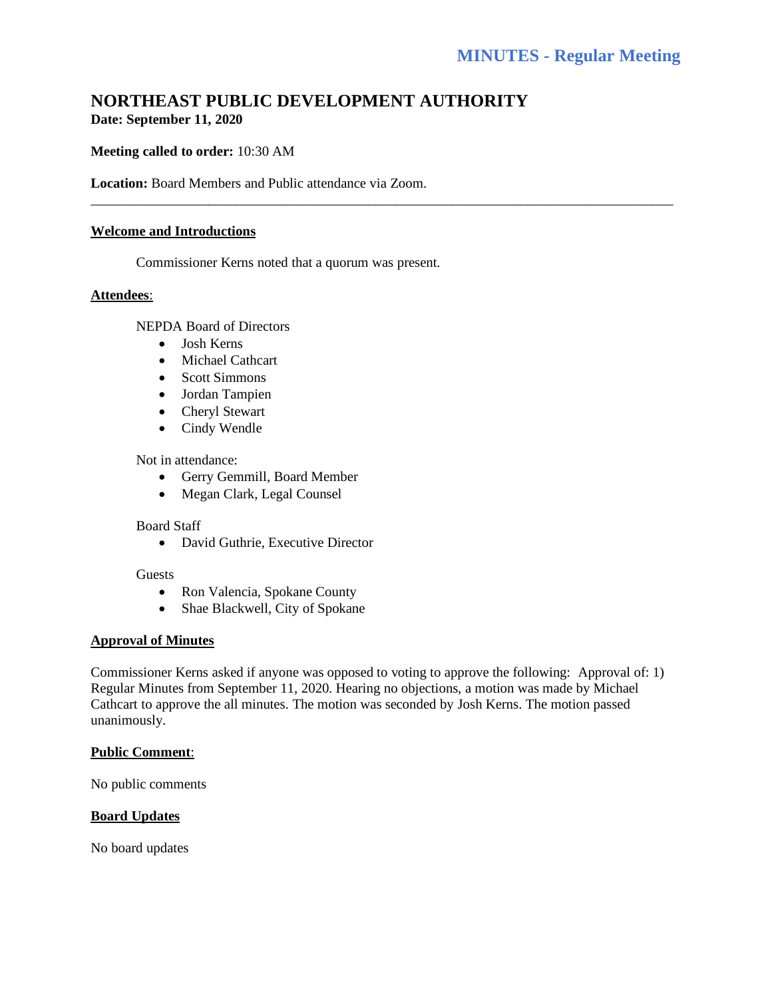# **NORTHEAST PUBLIC DEVELOPMENT AUTHORITY Date: September 11, 2020**

\_\_\_\_\_\_\_\_\_\_\_\_\_\_\_\_\_\_\_\_\_\_\_\_\_\_\_\_\_\_\_\_\_\_\_\_\_\_\_\_\_\_\_\_\_\_\_\_\_\_\_\_\_\_\_\_\_\_\_\_\_\_\_\_\_\_\_\_\_\_\_\_\_\_\_\_\_\_\_\_\_\_\_\_

# **Meeting called to order:** 10:30 AM

**Location:** Board Members and Public attendance via Zoom.

#### **Welcome and Introductions**

Commissioner Kerns noted that a quorum was present.

#### **Attendees**:

NEPDA Board of Directors

- Josh Kerns
- Michael Cathcart
- Scott Simmons
- Jordan Tampien
- Cheryl Stewart
- Cindy Wendle

#### Not in attendance:

- Gerry Gemmill, Board Member
- Megan Clark, Legal Counsel

#### Board Staff

• David Guthrie, Executive Director

#### Guests

- Ron Valencia, Spokane County
- Shae Blackwell, City of Spokane

# **Approval of Minutes**

Commissioner Kerns asked if anyone was opposed to voting to approve the following: Approval of: 1) Regular Minutes from September 11, 2020. Hearing no objections, a motion was made by Michael Cathcart to approve the all minutes. The motion was seconded by Josh Kerns. The motion passed unanimously.

# **Public Comment**:

No public comments

# **Board Updates**

No board updates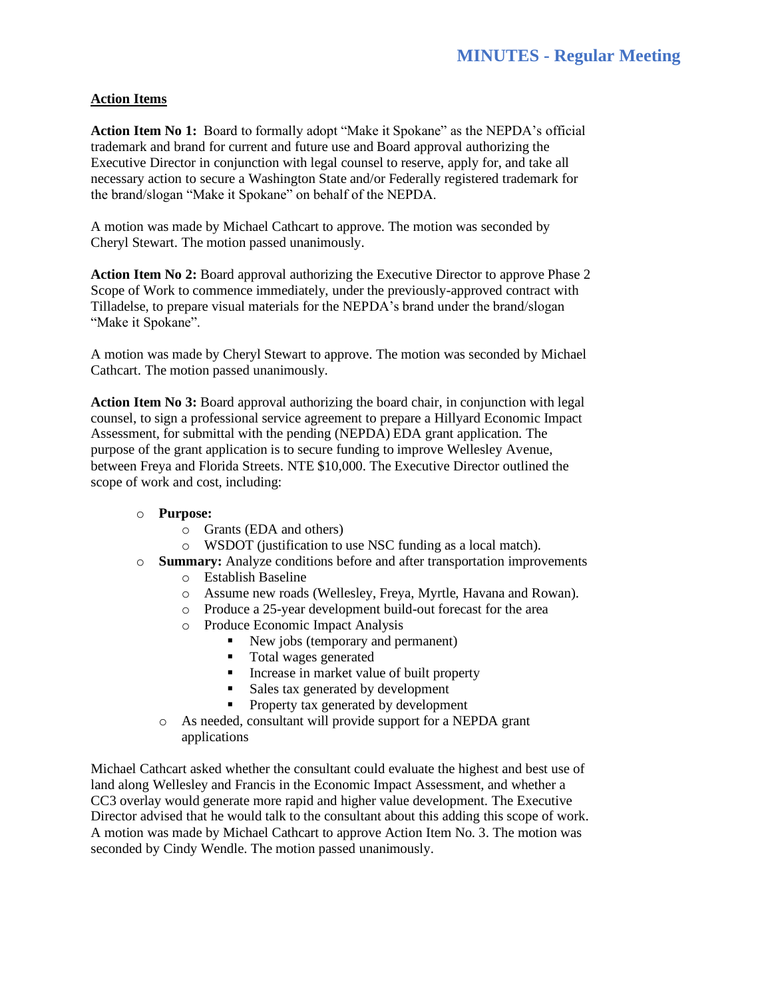# **Action Items**

**Action Item No 1:** Board to formally adopt "Make it Spokane" as the NEPDA's official trademark and brand for current and future use and Board approval authorizing the Executive Director in conjunction with legal counsel to reserve, apply for, and take all necessary action to secure a Washington State and/or Federally registered trademark for the brand/slogan "Make it Spokane" on behalf of the NEPDA.

A motion was made by Michael Cathcart to approve. The motion was seconded by Cheryl Stewart. The motion passed unanimously.

**Action Item No 2:** Board approval authorizing the Executive Director to approve Phase 2 Scope of Work to commence immediately, under the previously-approved contract with Tilladelse, to prepare visual materials for the NEPDA's brand under the brand/slogan "Make it Spokane".

A motion was made by Cheryl Stewart to approve. The motion was seconded by Michael Cathcart. The motion passed unanimously.

**Action Item No 3:** Board approval authorizing the board chair, in conjunction with legal counsel, to sign a professional service agreement to prepare a Hillyard Economic Impact Assessment, for submittal with the pending (NEPDA) EDA grant application. The purpose of the grant application is to secure funding to improve Wellesley Avenue, between Freya and Florida Streets. NTE \$10,000. The Executive Director outlined the scope of work and cost, including:

# o **Purpose:**

- o Grants (EDA and others)
- o WSDOT (justification to use NSC funding as a local match).
- o **Summary:** Analyze conditions before and after transportation improvements
	- o Establish Baseline
	- o Assume new roads (Wellesley, Freya, Myrtle, Havana and Rowan).
	- o Produce a 25-year development build-out forecast for the area
	- o Produce Economic Impact Analysis
		- New jobs (temporary and permanent)
		- Total wages generated
		- **•** Increase in market value of built property
		- Sales tax generated by development
		- **•** Property tax generated by development
	- o As needed, consultant will provide support for a NEPDA grant applications

Michael Cathcart asked whether the consultant could evaluate the highest and best use of land along Wellesley and Francis in the Economic Impact Assessment, and whether a CC3 overlay would generate more rapid and higher value development. The Executive Director advised that he would talk to the consultant about this adding this scope of work. A motion was made by Michael Cathcart to approve Action Item No. 3. The motion was seconded by Cindy Wendle. The motion passed unanimously.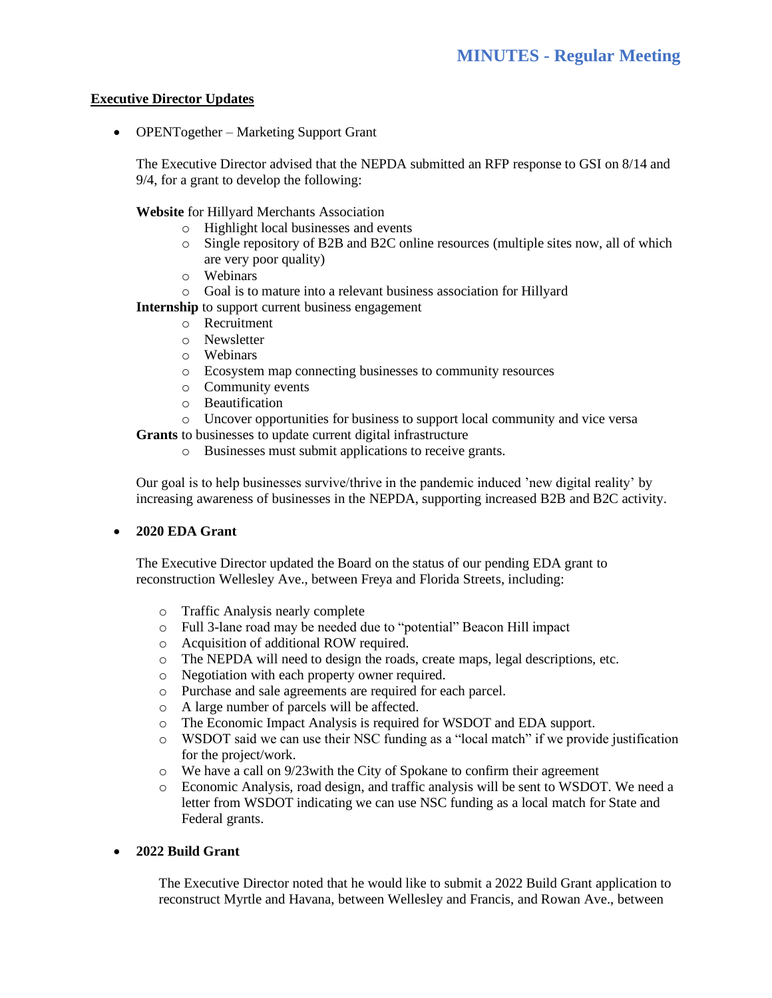# **Executive Director Updates**

• OPENTogether – Marketing Support Grant

The Executive Director advised that the NEPDA submitted an RFP response to GSI on 8/14 and 9/4, for a grant to develop the following:

**Website** for Hillyard Merchants Association

- o Highlight local businesses and events
- o Single repository of B2B and B2C online resources (multiple sites now, all of which are very poor quality)
- o Webinars
- o Goal is to mature into a relevant business association for Hillyard

**Internship** to support current business engagement

- o Recruitment
- o Newsletter
- o Webinars
- o Ecosystem map connecting businesses to community resources
- o Community events
- o Beautification
- o Uncover opportunities for business to support local community and vice versa

**Grants** to businesses to update current digital infrastructure

o Businesses must submit applications to receive grants.

Our goal is to help businesses survive/thrive in the pandemic induced 'new digital reality' by increasing awareness of businesses in the NEPDA, supporting increased B2B and B2C activity.

# • **2020 EDA Grant**

The Executive Director updated the Board on the status of our pending EDA grant to reconstruction Wellesley Ave., between Freya and Florida Streets, including:

- o Traffic Analysis nearly complete
- o Full 3-lane road may be needed due to "potential" Beacon Hill impact
- o Acquisition of additional ROW required.
- o The NEPDA will need to design the roads, create maps, legal descriptions, etc.
- o Negotiation with each property owner required.
- o Purchase and sale agreements are required for each parcel.
- o A large number of parcels will be affected.
- o The Economic Impact Analysis is required for WSDOT and EDA support.
- o WSDOT said we can use their NSC funding as a "local match" if we provide justification for the project/work.
- $\circ$  We have a call on 9/23 with the City of Spokane to confirm their agreement
- o Economic Analysis, road design, and traffic analysis will be sent to WSDOT. We need a letter from WSDOT indicating we can use NSC funding as a local match for State and Federal grants.

# • **2022 Build Grant**

The Executive Director noted that he would like to submit a 2022 Build Grant application to reconstruct Myrtle and Havana, between Wellesley and Francis, and Rowan Ave., between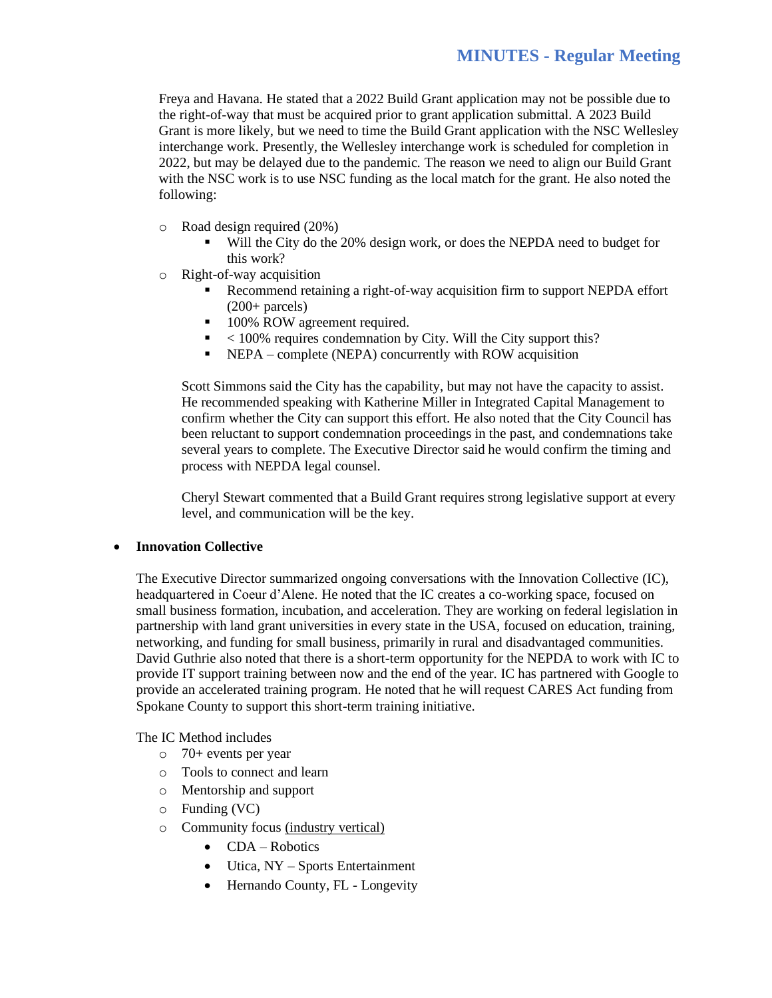Freya and Havana. He stated that a 2022 Build Grant application may not be possible due to the right-of-way that must be acquired prior to grant application submittal. A 2023 Build Grant is more likely, but we need to time the Build Grant application with the NSC Wellesley interchange work. Presently, the Wellesley interchange work is scheduled for completion in 2022, but may be delayed due to the pandemic. The reason we need to align our Build Grant with the NSC work is to use NSC funding as the local match for the grant. He also noted the following:

- o Road design required (20%)
	- Will the City do the 20% design work, or does the NEPDA need to budget for this work?
- o Right-of-way acquisition
	- Recommend retaining a right-of-way acquisition firm to support NEPDA effort  $(200+$  parcels)
	- 100% ROW agreement required.
	- $\blacksquare$  < 100% requires condemnation by City. Will the City support this?
	- NEPA complete (NEPA) concurrently with ROW acquisition

Scott Simmons said the City has the capability, but may not have the capacity to assist. He recommended speaking with Katherine Miller in Integrated Capital Management to confirm whether the City can support this effort. He also noted that the City Council has been reluctant to support condemnation proceedings in the past, and condemnations take several years to complete. The Executive Director said he would confirm the timing and process with NEPDA legal counsel.

Cheryl Stewart commented that a Build Grant requires strong legislative support at every level, and communication will be the key.

#### • **Innovation Collective**

The Executive Director summarized ongoing conversations with the Innovation Collective (IC), headquartered in Coeur d'Alene. He noted that the IC creates a co-working space, focused on small business formation, incubation, and acceleration. They are working on federal legislation in partnership with land grant universities in every state in the USA, focused on education, training, networking, and funding for small business, primarily in rural and disadvantaged communities. David Guthrie also noted that there is a short-term opportunity for the NEPDA to work with IC to provide IT support training between now and the end of the year. IC has partnered with Google to provide an accelerated training program. He noted that he will request CARES Act funding from Spokane County to support this short-term training initiative.

The IC Method includes

- o 70+ events per year
- o Tools to connect and learn
- o Mentorship and support
- o Funding (VC)
- o Community focus (industry vertical)
	- CDA Robotics
	- Utica, NY Sports Entertainment
	- Hernando County, FL Longevity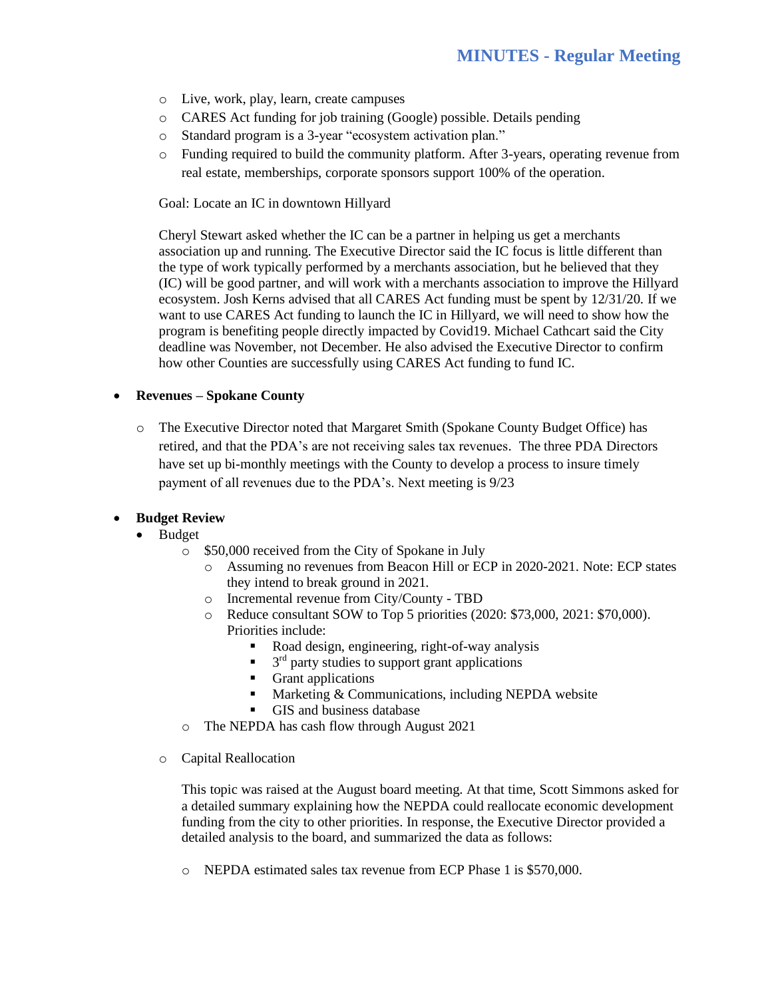- o Live, work, play, learn, create campuses
- o CARES Act funding for job training (Google) possible. Details pending
- o Standard program is a 3-year "ecosystem activation plan."
- o Funding required to build the community platform. After 3-years, operating revenue from real estate, memberships, corporate sponsors support 100% of the operation.

Goal: Locate an IC in downtown Hillyard

Cheryl Stewart asked whether the IC can be a partner in helping us get a merchants association up and running. The Executive Director said the IC focus is little different than the type of work typically performed by a merchants association, but he believed that they (IC) will be good partner, and will work with a merchants association to improve the Hillyard ecosystem. Josh Kerns advised that all CARES Act funding must be spent by 12/31/20. If we want to use CARES Act funding to launch the IC in Hillyard, we will need to show how the program is benefiting people directly impacted by Covid19. Michael Cathcart said the City deadline was November, not December. He also advised the Executive Director to confirm how other Counties are successfully using CARES Act funding to fund IC.

# • **Revenues – Spokane County**

o The Executive Director noted that Margaret Smith (Spokane County Budget Office) has retired, and that the PDA's are not receiving sales tax revenues. The three PDA Directors have set up bi-monthly meetings with the County to develop a process to insure timely payment of all revenues due to the PDA's. Next meeting is 9/23

# • **Budget Review**

- Budget
	- o \$50,000 received from the City of Spokane in July
		- o Assuming no revenues from Beacon Hill or ECP in 2020-2021. Note: ECP states they intend to break ground in 2021.
		- o Incremental revenue from City/County TBD
		- o Reduce consultant SOW to Top 5 priorities (2020: \$73,000, 2021: \$70,000). Priorities include:
			- Road design, engineering, right-of-way analysis
			- $\blacksquare$  3<sup>rd</sup> party studies to support grant applications
			- Grant applications
			- **■** Marketing  $&$  Communications, including NEPDA website
			- GIS and business database
	- o The NEPDA has cash flow through August 2021
	- o Capital Reallocation

This topic was raised at the August board meeting. At that time, Scott Simmons asked for a detailed summary explaining how the NEPDA could reallocate economic development funding from the city to other priorities. In response, the Executive Director provided a detailed analysis to the board, and summarized the data as follows:

o NEPDA estimated sales tax revenue from ECP Phase 1 is \$570,000.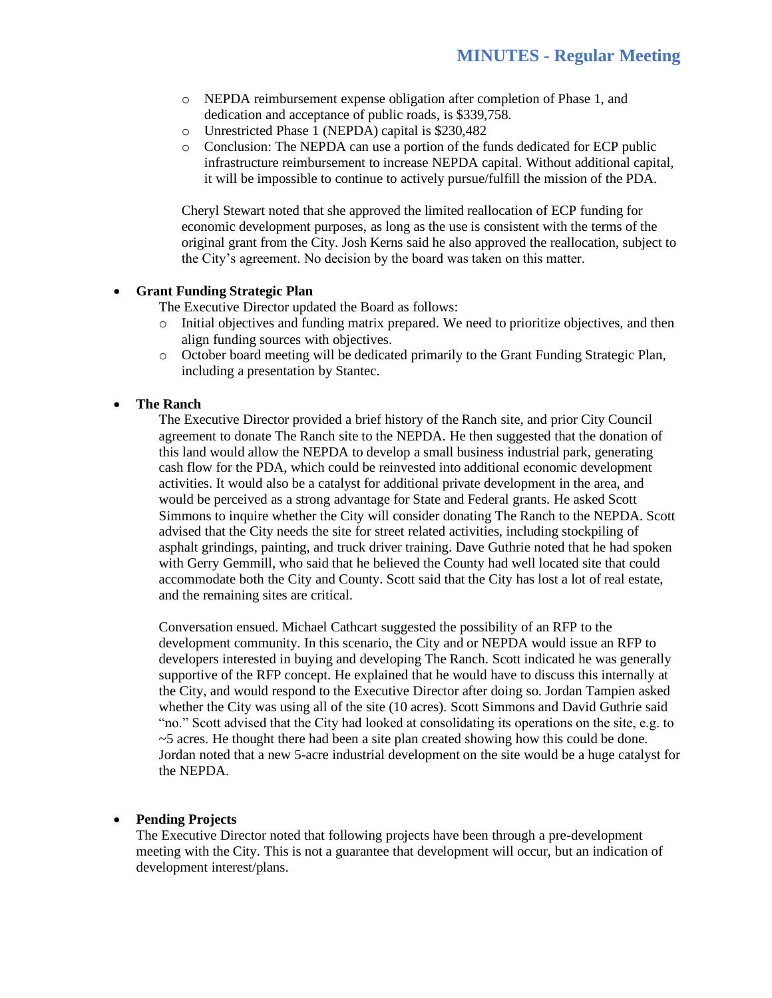- o NEPDA reimbursement expense obligation after completion of Phase 1, and dedication and acceptance of public roads, is \$339,758.
- o Unrestricted Phase 1 (NEPDA) capital is \$230,482
- o Conclusion: The NEPDA can use a portion of the funds dedicated for ECP public infrastructure reimbursement to increase NEPDA capital. Without additional capital, it will be impossible to continue to actively pursue/fulfill the mission of the PDA.

Cheryl Stewart noted that she approved the limited reallocation of ECP funding for economic development purposes, as long as the use is consistent with the terms of the original grant from the City. Josh Kerns said he also approved the reallocation, subject to the City's agreement. No decision by the board was taken on this matter.

#### • **Grant Funding Strategic Plan**

The Executive Director updated the Board as follows:

- o Initial objectives and funding matrix prepared. We need to prioritize objectives, and then align funding sources with objectives.
- o October board meeting will be dedicated primarily to the Grant Funding Strategic Plan, including a presentation by Stantec.

#### • **The Ranch**

The Executive Director provided a brief history of the Ranch site, and prior City Council agreement to donate The Ranch site to the NEPDA. He then suggested that the donation of this land would allow the NEPDA to develop a small business industrial park, generating cash flow for the PDA, which could be reinvested into additional economic development activities. It would also be a catalyst for additional private development in the area, and would be perceived as a strong advantage for State and Federal grants. He asked Scott Simmons to inquire whether the City will consider donating The Ranch to the NEPDA. Scott advised that the City needs the site for street related activities, including stockpiling of asphalt grindings, painting, and truck driver training. Dave Guthrie noted that he had spoken with Gerry Gemmill, who said that he believed the County had well located site that could accommodate both the City and County. Scott said that the City has lost a lot of real estate, and the remaining sites are critical.

Conversation ensued. Michael Cathcart suggested the possibility of an RFP to the development community. In this scenario, the City and or NEPDA would issue an RFP to developers interested in buying and developing The Ranch. Scott indicated he was generally supportive of the RFP concept. He explained that he would have to discuss this internally at the City, and would respond to the Executive Director after doing so. Jordan Tampien asked whether the City was using all of the site (10 acres). Scott Simmons and David Guthrie said "no." Scott advised that the City had looked at consolidating its operations on the site, e.g. to ~5 acres. He thought there had been a site plan created showing how this could be done. Jordan noted that a new 5-acre industrial development on the site would be a huge catalyst for the NEPDA.

#### • **Pending Projects**

The Executive Director noted that following projects have been through a pre-development meeting with the City. This is not a guarantee that development will occur, but an indication of development interest/plans.